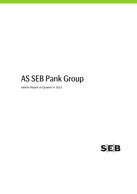# AS SEB Pank Group

Interim Report of Quarter IV 2012

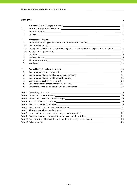#### **Contents** P.

|        |                                                                                                                                                                                                                               | 2            |
|--------|-------------------------------------------------------------------------------------------------------------------------------------------------------------------------------------------------------------------------------|--------------|
| I.     |                                                                                                                                                                                                                               | 3            |
| 1.     |                                                                                                                                                                                                                               | $\mathbf{3}$ |
| 2.     |                                                                                                                                                                                                                               | 3            |
| II.    |                                                                                                                                                                                                                               | 4            |
| 1.     | Credit institution's group as defined in Credit Institutions Law___________________________________                                                                                                                           | 4            |
| 1.1.   |                                                                                                                                                                                                                               | 4            |
| 1.2.   | Changes in the consolidated group during the accounting period and plans for year 2013_                                                                                                                                       | 5            |
| 1.3.   |                                                                                                                                                                                                                               | 5            |
| 2.     |                                                                                                                                                                                                                               | 6            |
| 3.     |                                                                                                                                                                                                                               |              |
| 4.     |                                                                                                                                                                                                                               | 12           |
| 5.     |                                                                                                                                                                                                                               | 12           |
| III.   |                                                                                                                                                                                                                               | 14           |
| 1.     |                                                                                                                                                                                                                               |              |
| 2.     | Consolidated statement of comprehensive income entrance and consolidated statement of comprehensive income                                                                                                                    |              |
| 3.     |                                                                                                                                                                                                                               |              |
| 4.     |                                                                                                                                                                                                                               |              |
| 5.     |                                                                                                                                                                                                                               |              |
| 6.     |                                                                                                                                                                                                                               |              |
|        |                                                                                                                                                                                                                               | 19           |
|        |                                                                                                                                                                                                                               | 20           |
|        |                                                                                                                                                                                                                               | 20           |
| Note 4 |                                                                                                                                                                                                                               |              |
| Note 5 | Fee and commission expense extension the contract of the state of the state of the state of the state of the state of the state of the state of the state of the state of the state of the state of the state of the state of |              |
| Note 6 |                                                                                                                                                                                                                               |              |
|        |                                                                                                                                                                                                                               |              |
|        |                                                                                                                                                                                                                               |              |
|        |                                                                                                                                                                                                                               |              |
|        | Note 10 Concentration of financial assets and liabilities by industry sector_________________________________23                                                                                                               |              |
|        |                                                                                                                                                                                                                               | 25           |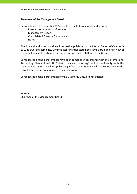# **Statement of the Management Board**

Interim Report of Quarter IV 2012 consists of the following parts and reports: Introduction – general information Management Report Consolidated Financial Statements Notes

The financial and other additional information published in the Interim Report of Quarter IV 2012 is true and complete. Consolidated financial statements give a true and fair view of the actual financial position, results of operations and cash flows of the Group.

Consolidated financial statements have been compiled in accordance with the International Accounting Standard IAS 34 "Interim financial reporting" and in conformity with the requirements of Eesti Pank for publishing information. AS SEB Pank and subsidiaries of the consolidated group are assumed to be going concern.

Consolidated financial statements for the Quarter IV 2012 are not audited.

Riho Unt Chairman of the Management Board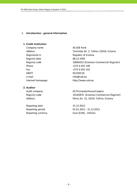#### **I. Introduction ‐ general information**

# **1. Credit institution**

Company name AS SEB Pank Registered in Republic of Estonia Registry date 08.12.1995 Phone  $+3726655100$ Fax  $+3726655102$ SWIFT SWIFT ENGINEERING THE STREET e-mail info@seb.ee Internet homepage http://www.seb.ee

# **2. Auditor**

Reporting date 31.12.2012

Address Tornimäe Str. 2, Tallinn 15010, Estonia Registry code 10004252 (Estonian Commercial Register)

Audit company and all the AS PricewaterhouseCoopers Registry code 10142876 (Estonian Commercial Register) Address Pärnu Str. 15, 10141 Tallinn, Estonia

Reporting period 01.01.2012 - 31.12.2012 Reporting currency Euro (EUR), millions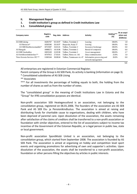# **II. Management Report**

# **1. Credit institution's group as defined in Credit Institutions Law**

# **1.1. Consolidated group**

| Company name                            | Registry<br>code | Reg. date | <b>Address</b>             | <b>Activity</b>                                  | Holding***<br>(%) | At an acqui-<br>sition cost<br>(EURmio) |
|-----------------------------------------|------------------|-----------|----------------------------|--------------------------------------------------|-------------------|-----------------------------------------|
| AS SEB Liising                          | 10281767         | 03.10.97  | Tallinn. Tornimäe 2        | Leasing                                          | 100.0%            | 1.8                                     |
| AS Rentacar*                            | 10303546         | 20.10.97  | Haapsalu, Karja 27         | Leasing                                          | 100.0%            | 0.0                                     |
| AS SEB Kindlustusmaakler*               | 10723587         | 16.01.01  | Tallinn. Tornimäe 2        | Insurance brokerage                              | 100.0%            | 0.0                                     |
| AS Bangalo                              | 10088272         | 18.10.96  | Tallinn. Tornimäe 2        | Rental of computers                              | 100.0%            | 0.0                                     |
| AS SEB Varahaldus                       | 10035169         | 22.05.96  | Tallinn. Tornimäe 2        | Asset management                                 | 100.0%            | 2.7                                     |
| AS Sertifits eerimis kes kus**          | 10747013         | 27.03.01  | Tallinn. Pärnu str. 141    | Data communication                               | 25.0%             | 1.0                                     |
| Tieto Estonia Services OÜ <sup>**</sup> | 11065244         | 30.08.04  | Tallinn, Tammsaare str. 47 | Information processing and<br>network management | 20.0%             | 0.0                                     |

**5.5**

All enterprises are registered in Estonian Commercial Register.

Parent company of the Group is AS SEB Pank, its activity is banking (information on page 3).

\* Consolidated subsidiaries of AS SEB Liising

\*\* Associates

\*\*\* For all investments the percentage of holding equals to both, the holding from the number of shares as well as from the number of votes.

The "consolidated group" in the meaning of Credit Institutions Law in Estonia and the "Group" for IFRS consolidation purposes are identical.

Non‐profit association SEB Heategevusfond is an association, not belonging to the consolidation group, registered on 06.01.2006. The founders of the association are AS SEB Pank and AS SEB Elu‐ ja Pensionikindlustus. The association is aimed at raising and distributing funds for charitable cause to organisations, dealing with children, who have been deprived of parental care. Upon dissolution of the association, the assets remaining after satisfaction of the claims of creditors shall be transferred to a non‐profit association or foundation with similar objectives, entered to the list of associations subject to income tax incentive of the Government of the Estonian Republic, or a legal person in public law, state or local government.

Non‐profit association Spordiklubi United is an association, not belonging to the consolidation group, which started from September 2008. The association is founded by AS SEB Pank. The association is aimed at organising on hobby and competition level sport events and organising promotions for advertising of own and supporter´s activities. Upon dissolution of the association, the assets shall be transferred to a non‐profit association, foundation or other persons filling the objectives by articles in public interests.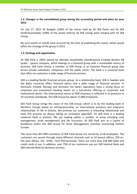# **1.2. Changes in the consolidated group during the accounting period and plans for year 2013**

On July 27, 2012 AS Bangalo (100% of the shares held by AS SEB Pank) and AS SEB Kindlustusmaakler (100% of the shares held by AS SEB Liising) were merged with AS SEB Liising .

No such events or trends have occurred by the time of publishing the report, which would affect the strategy of the group in 2013.

# **1.3. Strategy and organisation**

AS SEB Pank is 100% owned by ultimate shareholder Skandinaviska Enskilda Banken AB (publ) – parent company, which belongs to a financial group with a remarkable history of business. SEB Pank Group, a member of SEB Group, is an Estonian financial group that serves private individuals, companies and the public sector. The bank is a universal bank that offers its customers a wide range of financial services.

SEB is a leading Nordic financial services group. As a relationship bank, SEB in Sweden and the Baltic countries offers financial advice and a wide range of financial services. In Denmark, Finland, Norway and Germany the bank's operations have a strong focus on corporate and investment banking based on a full‐service offering to corporate and institutional clients. The international nature of SEB's business is reflected in its presence in 20 countries worldwide. The SEB Group has about 17,000 employees.

SEB Pank Group brings the vision of the SEB Group, which is to be the leading bank in Northern Europe based on entrepreneurship, an international presence and long‐term relationships, to life in Estonia. We promise our customers a rewarding relationship and keep this promise by always taking an innovative approach. AS SEB Pank is a leading universal bank in Estonia. We are leading within a number of areas including cash management, asset management and life insurance. AS SEB Pank acts as a Centre of Excellence within the SEB Group for Asset Management activities concerning Eastern Europe.

The more than 853 800 customers of SEB Pank Group are served by 1118 employees. The customers are served through many different channels such as 33 branch offices, 259 on‐ line post offices, 322 ATMs, 7213 POS‐terminals. There are more than 528 900 debit and credit cards in use. In addition, over 75% of our customers use our SEB Internet Bank and SEB Internet Bank for Business services.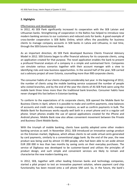# **2. Highlights**

# Effectiveness and development

In 2012, AS SEB Pank significantly increased its cooperation with the SEB Latvian and Lithuanian banks. Strengthening of cooperation in the Baltics has helped to introduce new modern banking services to our customers and reduced costs for banks. A good example of cross‐border cooperation is SEB Baltic Online, which offers the possibility for business clients to manage company accounts in SEB banks in Latvia and Lithuania, in real time, through the SEB Estonia Internet Bank.

As an important direction, AS SEB Pank developed Business Clients Financial Advisory Model in 2012. SEB Estonia began to offer financial advisory for its corporate clients, using an application created for that purpose. The novel application enables the bank to present a profound financial analysis of a company in a simple and summarised form. Companies can simulate various scenarios together with their account manager with a view to identifying risks and new business opportunities. In the second half of the year, SEB carried out a advisory project all over Estonia, counselling more than 900 corporate clients.

The consumer habits of our clients changed considerably last year. In the beginning of 2012, the number of clients using the mobile banking service surpassed the number of people who visited branches, and by the end of the year the clients of AS SEB Pank were using the mobile bank three times more than the traditional bank branches. Consumer habits have never changed this fast before in Estonian banking.

To conform to the expectations of its corporate clients, SEB opened the Mobile Bank for Business Clients in April, where it is possible to make and confirm payments, view balances of accounts and credit cards, manage e‐invoices, as well as confirm payments in bulk. The Mobile Bank for Businesses works equally well both in a smart phone and in a regular cell phone. Smart phones enable the use of special applications created for the iPhone and Android phones. Mobile Bank now also allows convenient movement between the Private and Business Client Mobile Banks.

With the triumph of mobile banking, clients have quickly adopted some other modern banking services as well. In November 2012, SEB introduced an innovative savings product on the Estonian market, Digikassa, which allows clients to set aside virtual cents generated by card payments, similarly to a conventional piggy bank. By the end of the year, the new product was being used by almost 15 000 people, who had been able to set aside almost EUR 200 000 in less than two months by saving cents on their everyday purchases. The service of Digikassa was developed to be customer‐based and utilises the principles of product design, and such simple and convenient services are likely to remain and characterise the new modern banking era.

In 2012, SEB, together with other leading Estonian banks and technology companies, started a pilot project to test an innovative payment solution, where payment card chip functionality has been moved onto a cell phone SIM card. So, in the future, the bank's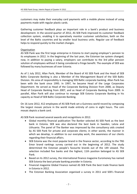customers may make their everyday card payments with a mobile phone instead of using payments made with regular plastic cards.

Gathering customer feedback plays an important role in a bank's product and business development. In the second quarter of 2012, AS SEB Pank improved its customer feedback collection system, enabling it to operatively monitor customer satisfaction, both on the level of the Baltic countries and by smaller local business units. Regular use of feedback helps to respond quickly to the market changes.

# **Organisation**

AS SEB Pank was the first large enterprise in Estonia to start paying employer's pension to its employees in 2012. In the beginning of the last year, the Estonian tax system changed; now, in addition to paying a salary, employers can contribute to the 3rd pillar pension solution of employees without it being considered a fringe benefit. The example of SEB was followed by many businesses all over Estonia.

As of 1 July 2012, Allan Parik, Member of the Board of AS SEB Pank and the Head of SEB Baltic Corporate Banking is also a Member of the Management Board of the SEB Baltic Division. His area of responsibility is managing SEB Baltic corporate banking. Allan Parik has been with the bank since 1995. In 1997, he became Head of the Large Corporates Department. He served as Head of the Corporate Banking Division from 2000, as Deputy Head of Corporate Banking from 2007, and as Head of Corporate Banking from 2009. In parallel, Allan Parik will also continue to manage SEB Estonia Corporate Banking in his capacity as Head of SEB Baltic Corporate Banking.

On 16 June 2012, 412 employees of AS SEB Pank set a Guinness world record by composing the largest mosaic picture in the world made entirely of coins in eight hours. The coin mosaic depicts a bank card.

AS SEB Pank received several awards and recognitions in 2012.

- Global monthly financial publication The Banker selected AS SEB Pank as the best bank in Estonia. SEB was also declared the best bank in Sweden, Latvia and Lithuania. The panel of The Banker was impressed by the consultancy aids created by AS SEB Pank for private and corporate clients; in other words, the manner in which we develop, in addition to our everyday work, the awareness of our clients regarding their financial affairs.
- SEB Estonia was the most popular brand in the finance sector, according to the TNS Emor brand rankings survey carried out in the beginning of 2012. The study determined the Estonian people's favourite brands out of the 149 viewed. The selection included five banks and the highest, 11th position belonged to AS SEB Pank.
- Based on its 2012 survey, the international finance magazine Euromoney has named SEB Estonia the best private banking provider in Estonia.
- Financial magazine Global Finance named AS SEB Pank the best trade finance bank in Estonia in 2012.
- The Estonian Banking Association organised a survey in 2011 and SEB's financial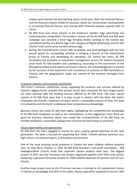helpers were elected the best banking action of the year. Both the Financial Planner and the financial analysis model for business clients are revolutionary developments in increasing financial literacy and sharing SEB's financial analysis capacity with its clients.

- AS SEB Pank won three awards in the Kuldmuna (Golden Egg) advertising and communication competition: The outdoor solution of the AS SEB Pank and RSA joint campaign was awarded a Silver Egg; bringing mobile banking to the market was considered worthy of a Bronze Egg in the category of digital advertising, and the SEB Charity Fund's print series earned a Bronze Egg.
- During the FinanceEstonia Forum, SEB Varahaldus was acknowledged with the first annual award for outstanding activities in bringing a branch of the international group to Estonia and developing its operation. For almost ten years, AS SEB Varahaldus has provided an investment management service for Eastern‐European stock funds for SEB Sweden and Luxembourg. According to the assessment of the Management Board and experts of Finance Estonia, the acknowledgement is earned by the duration of the experience and consistency of activities of SEB Varahaldus in Estonia, and the geographical range and volume of the business managed from Estonia.

# Customer relations and customer satisfaction

TNS Emor's customer satisfaction survey regarding the products and services offered by Estonia's biggest banks revealed that private clients who compared the four largest banks are most satisfied with the banking services offered by AS SEB Pank. The most valued aspects of AS SEB Pank were that it is easy to get in contact with the bank, the bank's employees are friendly, responses are given within a reasonable amount of time, the bank is trustworthy and the bank's employees have comprehensive knowledge.

Business clients also rated AS SEB Pank highly, highlighting the comprehensive knowledge of AS SEB Pank employees as well as the consultations, as the suggestions from these are good for business. Business clients also noted the trustworthiness of AS SEB Pank, its friendly employees, reasonable waiting times and that the bank keeps its promises.

# Social responsibility and sponsorship

AS SEB Pank has been engaged in charity for years, paying special attention to the next generation. The bank is focused on supporting four fields: children without parental care, high culture, recreational sports, and business environment.

One of the most pressing social problems in Estonia has been children without parental care. To help these children, in 2005 AS SEB Pank founded a non‐profit association – SEB Heategevusfond (charity fund) that organises several projects each year. The biggest project of 2012 was the Christmas tree project organised together with Delfi news portal, delivering a personal Christmas present to 1200 children deprived of parental care all over Estonia.

Another large project next to the Christmas tree was a training for 43 replacement homes in Estonia on knowledge and skills in fire safety. Rescue specialists explained to almost 1200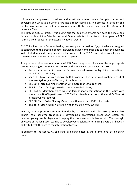children and employees of shelters and substitute homes, how a fire gets started and develops and what to do when a fire has already flared up. The project initiated by SEB Heategevusfond was carried out in cooperation with the Rescue Board and the Ministry of Internal Affairs.

The largest cultural project was giving out the audience awards for both the male and female soloists of the Estonian National Opera, selected by visitors to the opera. AS SEB Pank is a gold sponsor of the Estonian National Opera.

AS SEB Pank supports Estonia's leading business plan competition Ajujaht, which is designed to contribute to the creation of new knowledge based companies and to boost the business skills of students and young scientists. The winner of the 2012 competition was Raybike, a three‐wheeled scooter with unique control system.

As a promoter of recreational sports, AS SEB Pank is a sponsor of some of the largest sports events in our region. AS SEB Pank sponsored the following sports events in 2012:

- Tartu marathon, which was the Estonia's largest cross‐country skiing competition, with 6750 participants;
- 25th SEB May Run with almost 12 000 women this is the participation record of the twenty‐five years of history of the May runs;
- SEB 30th Tartu Running Marathon with more than 3900 runners;
- SEB 31st Tartu Cycling Race with more than 4200 bikers;
- SEB Tallinn Marathon which was the largest sports competition in the Baltics with more than 18 000 participants. SEB Tallinn Marathon is one of the world's 50 most prestigious marathons;
- SEB 6th Tartu Roller Skating Marathon with more than 1500 roller skaters;
- SEB 15th Tartu Cycling Marathon with more than 7400 cyclists.

In 2012, the non-profit organisation founded by AS SEB Pank and Tallink Grupp, SEB Tallink Tennis Team, achieved great results, developing a professional preparation system for talented young tennis players and helping them achieve world‐class results. The strategic objective of the long‐term team is to develop young talents into tennis players that have an ability to break through to the international arena.

In addition to the above, AS SEB Pank also participated in the international action Earth Hour.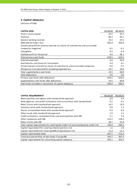# **3. Capital adequacy**

| <b>CAPITAL BASE</b>                                                             | 31.12.12 | 31.12.11 |
|---------------------------------------------------------------------------------|----------|----------|
| Paid-in share capital                                                           | 42.5     | 42.5     |
| Premium                                                                         | 86.3     | 86.1     |
| General banking reserves                                                        | 19.4     | 19.5     |
| Retained earnings / loss                                                        | 481.9    | 383.8    |
| Unrealised profit for previous periods on shares of subsidiaries and associated |          |          |
| companies (negative)                                                            | $-0.1$   | $-0.1$   |
| Intangibles                                                                     | $-0.5$   | $-0.4$   |
| Audited profit for the period                                                   | 0.0      | 98.1     |
| Total primary own funds                                                         | 629.5    | 629.5    |
| Subordinated debt                                                               | 0.0      | 50.0     |
| Available for sale financial instruments                                        | 0.4      | 0.1      |
| Unrealised part of profit on shares of subsidiaries and associated companies    | 0.0      | 0.1      |
| Allowances and adjustments exceeding expected loss                              | 10.1     | 10.6     |
| Total supplementary own funds                                                   | 10.5     | 60.8     |
| <b>Total deductions</b>                                                         | 0.0      | 0.0      |
| Primary own funds after deductions                                              | 629.5    | 629.5    |
| Supplementary own funds after deductions                                        | 10.5     | 60.8     |
| Own funds included in calculation of capital adequacy                           | 640.0    | 690.3    |

| <b>CAPITAL REQUIREMENTS</b>                                                          | 31.12.12 | 31.12.11 |
|--------------------------------------------------------------------------------------|----------|----------|
| Municipalities and regions with standardised approach                                | 6.0      | 5.4      |
| State agencies, non-profit institutions and associations with standardised           | 0.1      | 0.1      |
| Retail claims with standardised approach                                             | 16.2     | 13.9     |
| Overdue claims with standardised approach                                            | 0.0      | 1.2      |
| Shares of investment funds with standardised approach                                | 0.4      | 0.4      |
| Other assets with standardised approach                                              | 3.3      | 2.1      |
| Credit institutions, investment firms and municipalities with IRB                    | 5.1      | 7.0      |
| Other companies with IRB                                                             | 125.2    | 128.2    |
| Retail claims with IRB                                                               | 38.7     | 41.8     |
| Total capital requirements for covering the credit risk and counterparty credit risk | 195.0    | 200.1    |
| Capital requirement for covering interest position risk                              | 1.1      | 1.0      |
| Capital requirement for covering AMA of operational risk                             | 11.4     | 11.2     |
| Capital requirements total                                                           | 207.5    | 212.3    |
| Transition period floor of own funds if using IRB                                    | 303.1    | 301.5    |
| Capital requirements for calculating capital adequacy                                | 303.1    | 301.5    |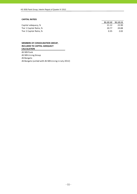#### **CAPITAL RATIOS**

|                         |       | 31.12.12 31.12.11 |
|-------------------------|-------|-------------------|
| Capital adequacy, %     | 21.12 | 22.90             |
| Tier 1 Capital Ratio, % | 20.77 | 20.88             |
| Tier 2 Capital Ratio, % | 0.35  | 2.02              |

#### **MEMBERS OF CONSOLIDATION GROUP, INCLUDED TO CAPITAL ADEQUACY CALCULATION**

AS SEB Pank AS SEB Liising Group AS Bangalo AS Bangalo (united with AS SEB Liising in July 2012)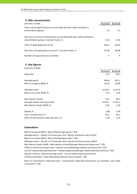| 4. Risk concentration                                                                                                   |          |       |
|-------------------------------------------------------------------------------------------------------------------------|----------|-------|
| (millions of EUR)                                                                                                       | 31.12.12 |       |
| Total claims against persons associated with the credit institution's<br>consolidation group                            | 1.0      | 1.3   |
| The share of claims of the persons associated with the credit institution's<br>consolidation group in net own funds, %, | 0.16     | 0.18  |
| Total of large exposure claims                                                                                          | 355.2    | 269.0 |
| The share of large exposure claims in net own funds, %                                                                  | 55.49    | 38.98 |
| Number of large exposure customers                                                                                      | 5        | 4     |

#### **5. Key figures**

| (millions of EUR)                       |          |          |
|-----------------------------------------|----------|----------|
|                                         | 31.12.12 | 31.12.11 |
| Net profit                              | 71.3     | 98.1     |
| Average equity                          | 666.6    | 581.1    |
| Return on equity (ROE), %               | 10.70    | 16.88    |
| Average assets                          | 4,143.5  | 4,214.9  |
| Return on assets (ROA), %               | 1.72     | 2.33     |
| Net interest income                     | 81.2     | 88.7     |
| Average interest earning assets         | 4,034.7  | 4,101.7  |
| Net interest margin (NIM), %            | 2.01     | 2.16     |
| Spread, %                               | 1.88     | 2.00     |
| Cost / Income ratio, %                  | 45.1     | 45.1     |
| Ratio of individually impaired loans, % | 1.39     | 2.25     |

#### **Explanations**

Return on equity (ROE) = Net profit/Average equity \* 100 Average equity = (Equity of current year end + Equity of previous year end)/2 Return on assets (ROA) = Net profit/Average assets \* 100 Average assets = (Assets of current year end + Assets of previous year end)/2 Cost of interest bearing liabilities = Interest expenses/Average interest bearing liabilities \*100 Cost/Income Ratio = Total Operating Expenses/Total Income \* 100 Spread = Yield on interest earning assets ‐ Cost of interest bearing liabilities Net interest margin (NIM) = Net interest income/Average interest earning assets \* 100 Yield on interest earning assets = Interest income/Average interest earning assets \*100

Ratio of individually impaired loans = Individually impaired loans/Loans to customers and credit institutions\* 100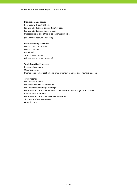#### **Interest earning assets:**

Balances with central bank Loans and advances to credit institutions Loans and advances to customers Debt securities and other fixed income securities (all without accrued interests)

#### **Interest bearing liabilities:**

Due to credit institutions Due to customers Loan funds Subordinated loans (all without accrued interests)

#### **Total Operating Expenses:**

Personnel expenses Other expenses Depreciation, amortisation and impairment of tangible and intangible assets

#### **Total Income:**

Net interest income Net fee and commission income Net income from foreign exchange Gains less losses from financial assets at fair value through profit or loss Income from dividends Gains less losses from investment securities Share of profit of associates Other income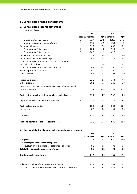# **III. Consolidated financial statements**

# **1. Consolidated income statement**

(millions of EUR)

|                                                           |                | 2012           |        | 2011          |         |
|-----------------------------------------------------------|----------------|----------------|--------|---------------|---------|
|                                                           |                | Note 12 months |        | QIV 12 months | QIV     |
| Interest and similar income                               | $\overline{2}$ | 109.7          | 22.6   | 129.8         | 34.3    |
| Interest expenses and similar charges                     | 3              | $-28.5$        | $-5.0$ | $-41.1$       | $-11.1$ |
| Net Interest Income                                       |                | 81.2           | 17.6   | 88.7          | 23.2    |
| Fee and commission income                                 | 4              | 51.8           | 13.7   | 51.1          | 12.0    |
| Fee and commission expense                                | 5              | $-14.7$        | $-3.9$ | $-13.9$       | $-3.6$  |
| Net fee and commission income                             |                | 37.1           | 9.8    | 37.2          | 8.4     |
| Net income from foreign exchange                          |                | 4.8            | 1.2    | 4.9           | 1.4     |
| Gains less losses from financial assets at fair value     |                |                |        |               |         |
| through profit or loss                                    |                | 2.5            | 0.4    | 2.2           | 1.1     |
| Gains less losses from investment securities              |                | $-0.1$         | $-0.1$ | $-0.2$        | $-0.2$  |
| Share of profit of associates                             |                | 0.2            | 0.1    | 0.1           | 0.1     |
| Other income                                              |                | 0.6            | 0.1    | 0.5           | 0.0     |
| Personnel expenses                                        |                | $-33.6$        | $-8.4$ | $-34.8$       | $-7.8$  |
| Other expenses                                            |                | $-20.1$        | $-5.2$ | $-22.3$       | $-6.0$  |
| Depreciation, amortisation and impairment of tangible and |                |                |        |               |         |
| intangible assets                                         |                | $-3.2$         | $-0.8$ | $-3.0$        | $-0.7$  |
| Profit before impairment losses on loans and advances     |                | 69.4           | 14.7   | 73.3          | 19.5    |
| Impairment losses on loans and advances                   | 6              | 1.9            | 0.4    | 24.8          | 2.4     |
| Profit before income tax                                  |                | 71.3           | 15.1   | 98.1          | 21.9    |
| Income tax                                                |                | 0.0            | 0.0    | 0.0           | 0.0     |
| Net profit                                                |                | 71.3           | 15.1   | 98.1          | 21.9    |
| Profit attributable to the sole equity holder             |                | 71.3           | 15.1   | 98.1          | 21.9    |

#### **2. Consolidated statement of comprehensive income**

|                                                       | 2012      |      | 2011          |      |
|-------------------------------------------------------|-----------|------|---------------|------|
|                                                       | 12 months |      | QIV 12 months | QIV  |
| Net profit                                            | 71.3      | 15.1 | 98.1          | 21.9 |
| Other comprehensive income/expense                    |           |      |               |      |
| Revaluation of available-for-sale financial assets    | 0.6       | 0.2  | $-0.1$        | 0.3  |
| Total other comprehensive income/expense              | 0.6       | 0.2  | $-0.1$        | 0.3  |
| Total comprehensive income                            | 71.9      | 15.3 | 98.0          | 22.2 |
| Sole equity holder of the parent entity (total)       | 71.9      | 15.3 | 98.0          | 22.2 |
| -Total comprehensive income from continued operations | 71.9      | 15.3 | 98.0          | 22.2 |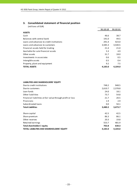# **3. Consolidated statement of financial position**

(millions of EUR)

|                                           | 31.12.12 | 31.12.11 |
|-------------------------------------------|----------|----------|
| <b>ASSETS</b>                             |          |          |
| Cash                                      | 46.6     | 38.7     |
| Balances with central bank                | 191.0    | 49.5     |
| Loans and advances to credit institutions | 291.4    | 423.0    |
| Loans and advances to customers           | 3,585.3  | 3,540.5  |
| Financial assets held for trading         | 21.4     | 21.0     |
| Available-for-sale financial assets       | 5.3      | 4.9      |
| Other assets                              | 31.7     | 18.0     |
| Investments in associates                 | 0.6      | 0.5      |
| Intangible assets                         | 0.5      | 0.4      |
| Property, plant and equipment             | 9.2      | 7.5      |
| <b>TOTAL ASSETS</b>                       | 4,183.0  | 4,104.0  |

#### **LIABILITIES AND SHAREHOLDERS' EQUITY**

| Due to credit institutions                                 | 748.2   | 948.5   |
|------------------------------------------------------------|---------|---------|
| Due to customers                                           | 2,610.7 | 2,378.8 |
| Loan funds                                                 | 24.0    | 18.1    |
| Other liabilities                                          | 73.7    | 54.8    |
| Financial liabilities at fair value through profit or loss | 21.7    | 20.5    |
| Provisions                                                 | 1.9     | 2.9     |
| Subordinated loans                                         | 0.0     | 50.1    |
| <b>Total Liabilities</b>                                   | 3,480.2 | 3,473.7 |
| Share capital                                              | 42.5    | 42.5    |
| Share premium                                              | 86.3    | 86.1    |
| Other reserves                                             | 20.3    | 19.8    |
| Retained earnings                                          | 553.7   | 481.9   |
| Total shareholders' equity                                 | 702.8   | 630.3   |
| TOTAL LIABILITIES AND SHAREHOLDERS' EQUITY                 | 4,183.0 | 4,104.0 |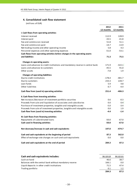# **4. Consolidated cash flow statement**

|                                                                                 | 2012      | 2011      |
|---------------------------------------------------------------------------------|-----------|-----------|
|                                                                                 | 12 months | 12 months |
| I. Cash flows from operating activities                                         |           |           |
| Interest received                                                               | 112.9     | 128.9     |
| Interest paid                                                                   | $-33.5$   | $-41.8$   |
| Fee and commission received                                                     | 51.8      | 51.1      |
| Fee and commission paid                                                         | $-14.7$   | $-13.9$   |
| Net trading income and other operating income                                   | 5.8       | 4.3       |
| Personnel expenses and other operating expenses                                 | $-51.0$   | $-53.1$   |
| Cash flows from operating activities before changes in the operating assets     |           |           |
| and liabilities                                                                 | 71.3      | 75.5      |
| Changes in operating assets:                                                    |           |           |
| Loans and advances to credit institutions and mandatory reserve in central bank | 171.9     | $-322.1$  |
| Loans and advances to customers                                                 | $-45.5$   | 91.0      |
| Other assets                                                                    | $-7.8$    | 1.9       |
| <b>Changes of operating liabilities:</b>                                        |           |           |
| Due to credit institutions                                                      | $-178.4$  | $-481.7$  |
| Due to customers                                                                | 233.3     | 228.7     |
| Loan funds                                                                      | 5.9       | 4.8       |
| Other liabilities                                                               | 0.7       | $-4.4$    |
| Cash flow from (used in) operating activities                                   | 251.4     | $-406.3$  |
| II. Cash flows from investing activities                                        |           |           |
| Net increase-/decrease+ of investment portfolio securities                      | 0.6       | $-0.3$    |
| Proceeds from sale and liquidation of associates and subsidiaries               | 0.0       | 0.4       |
| Purchase of investment properties, tangible and intangible assets               | $-5.0$    | $-3.4$    |
| Proceeds from sale of investment properties, tangible and intangible assets     | 0.0       | 1.9       |
| Cash flow from (used in) investing activities                                   | $-4.4$    | $-1.4$    |
| III. Cash flows from financing activities                                       |           |           |
| Repayments of subordinated loans                                                | $-50.0$   | $-67.0$   |
| Cash used in financing activities                                               | $-50.0$   | $-67.0$   |
| Net decrease/increase in cash and cash equivalents                              | 197.0     | -474.7    |
| Cash and cash equivalents at the beginning of period                            | 87.3      | 562.0     |
| Effect of exchange rate changes on cash and cash equivalents                    | 0.0       | 0.0       |
| Cash and cash equivalents at the end of period                                  | 284.3     | 87.3      |

| Cash and cash equivalents includes:                      | 31.12.12 | 31.12.11 |
|----------------------------------------------------------|----------|----------|
| Cash on hand                                             | 46.6     | 38.7     |
| Balances with the central bank without mandatory reserve | 166.1    | 0.0      |
| Liquid deposits in other credit institutions             | 71.5     | 47.4     |
| Trading portfolio                                        | 0.1      | 1.2      |
|                                                          | 284.3    | 87.3     |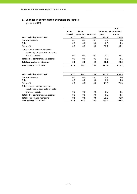# **5. Changes in consolidated shareholders' equity**

|                                                                  |              |              |                 |          | <b>Total</b>  |
|------------------------------------------------------------------|--------------|--------------|-----------------|----------|---------------|
|                                                                  | <b>Share</b> | <b>Share</b> |                 | Retained | shareholders' |
|                                                                  | capital      | premium      | <b>Reserves</b> | profit   | equity        |
| Year beginning 01.01.2011                                        | 42.5         | 86.1         | 20.0            | 383.2    | 531.8         |
| Statutory reserve                                                | 0.0          | 0.0          | $-0.1$          | 0.1      | 0.0           |
| Other                                                            | 0.0          | 0.0          | 0.0             | 0.5      | 0.5           |
| Net profit                                                       | 0.0          | 0.0          | 0.0             | 98.1     | 98.1          |
| Other comprehensive expense:                                     |              |              |                 |          |               |
| Net change in available-for-sale                                 |              |              |                 |          |               |
| financial assets                                                 | 0.0          | 0.0          | $-0.1$          | 0.0      | $-0.1$        |
| Total other comprehensive expense                                | 0.0          | 0.0          | $-0.1$          | 0.0      | $-0.1$        |
| Total comprehensive income                                       | 0.0          | 0.0          | $-0.1$          | 98.1     | 98.0          |
| <b>Final balance 31.12.2011</b>                                  | 42.5         | 86.1         | 19.8            | 481.9    | 630.3         |
| Year beginning 01.01.2012                                        | 42.5         | 86.1         | 19.8            | 481.9    | 630.3         |
| Statutory reserve                                                | 0.0          | 0.0          | $-0.1$          | 0.1      | 0.0           |
| Other                                                            | 0.0          | 0.2          | 0.0             | 0.4      | 0.6           |
| Net profit                                                       | 0.0          | 0.0          | 0.0             | 71.3     | 71.3          |
| Other comprehensive expense:<br>Net change in available-for-sale |              |              |                 |          |               |
| financial assets                                                 | 0.0          | 0.0          | 0.6             | 0.0      | 0.6           |
| Total other comprehensive expense                                | 0.0          | 0.0          | 0.6             | 0.0      | 0.6           |
| Total comprehensive income                                       | 0.0          | 0.0          | 0.6             | 71.3     | 71.9          |
| <b>Final balance 31.12.2012</b>                                  | 42.5         | 86.3         | 20.3            | 553.7    | 702.8         |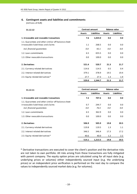# **6. Contingent assets and liabilities and commitments**

(millions of EUR)

| 31.12.12                                                                                   | <b>Contract amount</b> |                    | <b>Balance value</b> |                    |  |
|--------------------------------------------------------------------------------------------|------------------------|--------------------|----------------------|--------------------|--|
|                                                                                            | <b>Assets</b>          | <b>Liabilities</b> | <b>Assets</b>        | <b>Liabilities</b> |  |
| 1. Irrevocable and revocable transactions                                                  | 7.6                    | 1,024.0            | 0.0                  | 0.0                |  |
| 1.1. Guarantees and other similar off-balance sheet<br>irrovocable liabilitieas and claims | 1.1                    | 268.5              | 0.0                  | 0.0                |  |
| incl. financial quarantees                                                                 | 0.0                    | 92.1               | 0.0                  | 0.0                |  |
| 1.2. Loan commitments                                                                      | 6.5                    | 655.5              | 0.0                  | 0.0                |  |
| 1.3. Other revocable transactions                                                          | 0.0                    | 100.0              | 0.0                  | 0.0                |  |
| 2. Derivatives                                                                             | 521.4                  | 520.7              | 21.3                 | 21.7               |  |
| 2.1. Currency related derivatives                                                          | 114.6                  | 114.5              | 0.5                  | 0.4                |  |
| 2.2. Interest related derivatives                                                          | 379.1                  | 378.9              | 19.5                 | 19.4               |  |
| 2.3. Equity related derivatives*                                                           | 27.7                   | 27.3               | 1.3                  | 1.9                |  |
|                                                                                            | 529.0                  | 1,544.7            | 21.3                 | 21.7               |  |

| 31.12.11                                                                                                                 | <b>Contract amount</b> |                    | <b>Balance value</b> |                    |  |
|--------------------------------------------------------------------------------------------------------------------------|------------------------|--------------------|----------------------|--------------------|--|
|                                                                                                                          | <b>Assets</b>          | <b>Liabilities</b> | <b>Assets</b>        | <b>Liabilities</b> |  |
| 1. Irrevocable and revocable transactions                                                                                | 7.2                    | 707.6              | 0.0                  | 0.0                |  |
| 1.1. Guarantees and other similar off-balance sheet<br>irrovocable liabilitieas and claims<br>incl. financial quarantees | 0.7<br>0.0             | 244.7<br>76.5      | 0.0<br>0.0           | 0.0<br>0.0         |  |
| 1.2. Loan commitments                                                                                                    | 6.5                    | 362.9              | 0.0                  | 0.0                |  |
| 1.3. Other revocable transactions                                                                                        | 0.0                    | 100.0              | 0.0                  | 0.0                |  |
| 2. Derivatives                                                                                                           | 506.9                  | 505.9              | 19.8                 | 20.5               |  |
| 2.1. Currency related derivatives                                                                                        | 119.8                  | 119.5              | 1.3                  | 1.1                |  |
| 2.2. Interest related derivatives                                                                                        | 346.5                  | 346.4              | 17.3                 | 17.2               |  |
| 2.3. Equity related derivatives*                                                                                         | 40.6                   | 40.0               | 1.2                  | $2.2^{\circ}$      |  |
|                                                                                                                          | 514.1                  | 1,213.5            | 19.8                 | 20.5               |  |

\* Derivative transactions are executed to cover the client's position and the derivative risks are not taken to own portfolio. All risks arising from these transactions are fully mitigated with parent company. The equity option prices are calculated using for all input data (e.g. underlying prices or volumes) either independently sourced input (e.g. the underlying prices) or an independent price verification is performed on the next day to compare the values to independently sourced market data (e.g. for volumes).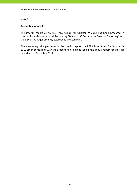# **Accounting principles**

The interim report of AS SEB Pank Group for Quarter IV 2012 has been prepared in conformity with International Accounting Standard IAS 34 "Interim Financial Reporting" and the disclosure requirements, established by Eesti Pank.

The accounting principles, used in the interim report of AS SEB Pank Group for Quarter IV 2012 are in conformity with the accounting principles used in the annual report for the year ended on 31 December 2011.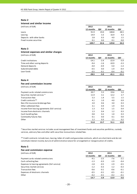#### **Interest and similar income**

(millions of EUR) **2012 2011**

|                           | 12 months | QIV  | 12 months | QIV  |
|---------------------------|-----------|------|-----------|------|
| Loans                     | 91.9      | 19.0 | 108.8     | 28.5 |
| Leasing                   | 14.9      | 3.3  | 16.9      | 4.3  |
| Deposits with other banks | 2.8       | 0.3  | 4.0       | 1.5  |
| Fixed income securities   | 0.1       | 0.0  | 0.1       | 0.0  |
|                           | 109.7     | 22.6 | 129.8     | 34.3 |

#### **Note 3**

# **Interest expenses and similar charges**

(millions of EUR) **2012 2011 12 months QIV 12 months QIV** Credit institutions −14.1 −2.4 −22.9 −5.9 Time and other saving deposits and series are set of the same series of the same series of the series of the series of the series of the series of the series of the series of the series of the series of the series of the s Demand deposits **1.4 Contract 2.0 Figure 1.4 Contract 2.0** Figure 1.4 Contract 2.0 Figure 1.4 Contract 2.0 Figure 1.4 Subordinated debts ‐0.5 0.0 ‐1.9 ‐0.4 Loan funds ‐0.5 ‐0.1 ‐0.4 ‐0.1 **‐28.5 ‐5.0 ‐41.1 ‐11.1**

#### **Note 4**

#### **Fee and commission income**

| ם שווים שווים ושלוחוויות של היותר שם ה        |           |      |           |      |
|-----------------------------------------------|-----------|------|-----------|------|
| (millions of EUR)                             | 2012      |      | 2011      |      |
|                                               | 12 months | QIV  | 12 months | QIV  |
| Payment cards related commissions             | 20.7      | 5.5  | 19.6      | 5.0  |
| Securities market services *                  | 11.9      | 3.1  | 12.2      | 2.7  |
| <b>Transaction fees</b>                       | 5.3       | 1.4  | 5.5       | 1.5  |
| Credit contracts**                            | 4.1       | 1.0  | 4.0       | 0.9  |
| Non-life insurance brokerage fees             | 2.0       | 0.6  | 3.0       | 0.3  |
| Other settlement fees                         | 3.1       | 0.9  | 1.9       | 0.4  |
| Income from leasing agreements (full service) | 1.3       | 0.3  | 1.5       | 0.4  |
| Income from electronic channels               | 1.3       | 0.4  | 1.2       | 0.3  |
| Cash handling fees                            | 0.8       | 0.2  | 1.0       | 0.3  |
| Commodity futures fees                        | 0.1       | 0.0  | 0.1       | 0.0  |
| Other                                         | 1.2       | 0.3  | 1.1       | 0.2  |
|                                               | 51.8      | 13.7 | 51.1      | 12.0 |

\* Securities market services includes asset management fees of investment funds and securties portfolios, custody services, advisory fees and other with securities transactions related fees.

\*\* Credit contracts include loan, leasing, letter of credit and guarantee contracts, which are short‐term and do not constitute interest income, but are of administrative nature for arrangement or reorganisation of credits.

#### **Note 5**

| Fee and commission expense                    |           |        |           |        |
|-----------------------------------------------|-----------|--------|-----------|--------|
| (millions of EUR)                             | 2012      |        | 2011      |        |
|                                               | 12 months | QIV    | 12 months | QIV    |
| Payment cards related commissions             | $-9.1$    | $-2.5$ | $-7.6$    | $-2.1$ |
| Cash collecting fees                          | $-1.3$    | $-0.3$ | $-1.9$    | $-0.4$ |
| Expenses to leasing agreements (full service) | $-1.8$    | $-0.5$ | $-1.9$    | $-0.5$ |
| Securities market services                    | $-1.2$    | $-0.3$ | $-1.2$    | $-0.3$ |
| <b>Transaction fees</b>                       | $-0.6$    | $-0.1$ | $-0.6$    | $-0.1$ |
| Expenses of electronic channels               | $-0.5$    | $-0.1$ | $-0.5$    | $-0.1$ |
| Other                                         | $-0.2$    | $-0.1$ | $-0.2$    | $-0.1$ |
|                                               | $-14.7$   | $-3.9$ | $-13.9$   | $-3.6$ |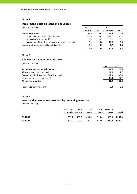#### **Impairment losses on loans and advances**

| (millions of EUR)                                  | 2012      |        | 2011      |        |
|----------------------------------------------------|-----------|--------|-----------|--------|
|                                                    | 12 months | QIV    | 12 months | QIV    |
| <b>Impairment losses</b>                           | $-0.3$    | $-0.1$ | 27.5      | 0.8    |
| impairment losses of reporting period              | $-17.9$   | $-8.2$ | $-14.7$   | $-5.1$ |
| recoveries from write-offs                         | 0.3       | 0.1    | 0.2       | 0.1    |
| decreasing of impairment losses of previous period | 17.3      | 8.0    | 42.0      | 5.8    |
| Impairment losses for contingent liabilities       | 2.2       | 0.5    | $-2.7$    | 1.6    |
|                                                    | 1.9       | 0.4    | 24.8      | 2.4    |

#### **Note 7**

# **Allowances on loans and advances**

(millions of EUR)

|                                             | 31.12.12 | 31.12.11 |
|---------------------------------------------|----------|----------|
| At the beginning of period (January, 1)     | 131.0    | 179.5    |
| Allowances of reporting period              | 17.9     | 14.7     |
| Decreasing of allowances of previous period | $-17.3$  | $-42.0$  |
| Loans and advances written off              | $-40.4$  | $-21.2$  |
| At the end of period                        | 91.2     | 131.0    |
| Recoveries from write-offs                  | 0.3      | 0.2      |

#### **Note 8**

#### **Loans and advances to customers by remaining maturity**

|          | Less than 3-12<br>3 months months | $1-5$<br>vears | vears                                    | 5-10 Over 10<br>vears | Total |
|----------|-----------------------------------|----------------|------------------------------------------|-----------------------|-------|
| 31.12.12 | 209.7                             |                | 560.3 1,435.4 510.4 869.5 <b>3,585.3</b> |                       |       |
| 31.12.11 |                                   |                | 174.2 509.0 1,390.1 517.9 949.3 3,540.5  |                       |       |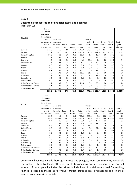#### **Geographic concentration of financial assets and liabilities**

(millions of EUR)

|                                 | Cash,             |            |            |                |                |            |              |                |                  |                |
|---------------------------------|-------------------|------------|------------|----------------|----------------|------------|--------------|----------------|------------------|----------------|
|                                 | balances          |            |            |                |                |            |              |                |                  |                |
|                                 | with central      |            |            |                |                |            |              |                |                  |                |
| 31.12.12                        | bank, Ioans       |            |            |                |                |            |              |                |                  |                |
|                                 | and               | Loans and  |            |                |                | Due to     |              |                |                  |                |
|                                 | advances to       | advances   |            |                |                | credit     | Due to       | Other          | Total            | Contin-        |
|                                 | credit            | to custo-  | Securi-    | Other          | Total          | institu-   | custo-       | liabili-       | liabili-         | gent           |
|                                 | institutions      | mers       | ties       | assets         | assets         | tions      | mers         | ties           | ties             | liabilities    |
| Sweden                          | 242.6             | 1.3        | 1.9        | 2.1            | 247.9          | 675.4      | 8.8          | 20.4           | 704.6            | 1.4            |
| Estonia                         | 237.7             | 3,542.3    | 24.5       | 36.4           | 3,840.9        | 10.9       | 2,227.6      | 97.5           | 2,336.0          | 1,009.9        |
| United Kingdom                  | 16.2              | 2.1        | 0.0        | 0.1            | 18.4           | 1.3        | 18.9         | 0.0            | 20.2             | $0.2\,$        |
| Russia                          | 1.9               | 0.4        | 0.0        | 0.3            | 2.6            | 0.4        | 25.4         | 0.3            | 26.1             | 0.1            |
| Germany                         | 4.2               | 0.2        | 0.0        | 0.0            | 4.4            | 25.8       | 7.3          | 0.0            | 33.1             | 7.4            |
| United States                   | 2.8               | 0.5        | 0.8        | 0.0            | 4.1            | 0.0        | 59.3         | 0.0            | 59.3             | 0.1            |
| Canada                          | 0.0               | 0.0        | 0.0        | 0.0            | 0.0            | 0.0        | 0.9          | 0.0            | 0.9              | 0.0            |
| Japan                           | 0.0               | 0.0        | 0.0        | 0.0            | 0.0            | 0.0        | 0.3          | 0.0            | 0.3              | 0.0            |
| Finland                         | 0.1               | 18.8       | 0.0        | 1.2            | 20.1           | 0.0        | 11.7         | 1.3            | 13.0             | 2.4            |
| Latvia                          | 4.9               | 10.1       | 0.0        | 0.1            | 15.1           | 31.6       | 6.5          | 0.0            | 38.1             | 0.0            |
| Lithuania                       | 3.9               | 0.0        | 0.0        | 0.2            | 4.1            | 1.3        | 11.9         | 0.0            | 13.2             | 0.0            |
| Luxembourg                      | 1.2               | 0.0        | 0.0        | 0.4            | 1.6            | 0.5        | 0.0          | 0.0            | 0.5              | 0.0            |
| Netherlands                     | 0.0               | 0.5        | 0.0        | 0.0            | 0.5            | 0.0        | 0.9          | 0.0            | 0.9              | 0.0            |
| Other Western Europe            | 12.4              | 8.7        | 0.1        | 0.2            | 21.4           | 0.9        | 33.9         | 0.0            | 34.8             | 1.6            |
| Other Eastern Europe            | 1.1               | 0.0        | 0.0        | 0.0            | 1.1            | 0.0        | 3.1          | 0.1            | 3.2              | 0.0            |
| Other countries                 | 0.0               | 0.4        | 0.0        | 0.4            | 0.8            | 0.1        | 194.2        | 1.7            | 196.0            | 0.9            |
|                                 | 529.0             | 3,585.3    | 27.3       | 41.4           | 4,183.0        | 748.2      | 2,610.7      | 121.3          | 3,480.2          | 1,024.0        |
|                                 |                   |            |            |                |                |            |              |                |                  |                |
|                                 |                   |            |            |                |                |            |              |                |                  |                |
|                                 |                   |            |            |                |                |            |              |                |                  |                |
|                                 | Cash,<br>balances |            |            |                |                |            |              |                |                  |                |
|                                 |                   |            |            |                |                |            |              |                |                  |                |
|                                 | with central      |            |            |                |                |            |              |                |                  |                |
| 31.12.11                        | bank, Ioans       |            |            |                |                |            |              |                |                  |                |
|                                 | and               | Loans and  |            |                |                | Due to     |              |                |                  |                |
|                                 | advances to       | advances   |            |                |                | credit     | Due to       | Other          | Total            | Contin-        |
|                                 | credit            | to custo-  | Securi-    | Other          | Total          | institu-   | custo-       | liabili-       | liabili-         | gent           |
|                                 | institutions      | mers       | ti es      | assets         | assets         | tions      | mers         | ties           | ties             | liabilities    |
| Sweden                          | 403.3             | 1.6        | 3.1        | 0.3            | 408.3          | 862.8      | 9.8          | 66.8           | 939.4            | 1.3            |
| Estonia                         | 88.3              | 3,496.8    | 22.1       | 19.8           | 3,627.0        | 24.6       | 2,088.8      | 73.0           | 2,186.4          | 695.4          |
| United Kingdom<br>Russia        | 0.4<br>2.5        | 2.2<br>0.4 | 0.3<br>0.0 | 0.0            | 2.9<br>2.9     | 6.9<br>0.4 | 17.8<br>17.2 | 0.1<br>0.0     | 24.8<br>17.6     | 0.2            |
|                                 | 0.2               | 0.2        | 0.0        | 0.0<br>0.0     | 0.4            | 33.2       | 2.3          | 0.0            | 35.5             | 0.1<br>7.4     |
| Germany<br><b>United States</b> | 2.8               | 0.8        | 0.5        | 0.0            | 4.1            | 0.2        | 51.9         | 0.0            | 52.1             | 0.1            |
| Canada                          |                   | 0.0        |            |                |                |            |              |                |                  |                |
| Japan                           | $0.0\,$<br>0.0    | 0.0        | 0.0<br>0.0 | $0.0\,$<br>0.0 | $0.0\,$<br>0.0 | 0.0<br>0.0 | 0.8<br>0.4   | $0.0\,$<br>0.0 | $0.8\,$<br>0.4   | $0.0\,$<br>0.0 |
| Finland                         | 0.0               | 19.2       | 0.0        | 0.5            | 19.7           | 0.0        | 8.1          | 0.4            | 8.5              | 2.0            |
| Latvia                          | 5.2               | $0.1\,$    | 0.0        | 0.0            | 5.3            | 17.7       | 1.8          | 0.0            | 19.5             | 0.0            |
| Lithuania                       | 1.5               | 0.0        | 0.0        | 0.1            | 1.6            | 0.3        | 2.1          | 0.0            | 2.4              | 0.0            |
| Luxembourg                      | 1.1               | 0.0        | 0.0        | 0.4            | 1.5            | 0.1        | 0.0          | 0.0            | 0.1              | 0.0            |
| Netherlands                     | 0.0               | 0.5        | 0.0        | 0.0            | 0.5            | 0.0        | 1.3          | 0.0            | 1.3              | 0.0            |
| Other Western Europe            | 5.1               | 18.1       | 0.0        | 0.1            | 23.3           | 2.2        | 14.8         | 0.0            | 17.0             | $1.1\,$        |
| Other Eastern Europe            | 0.7               | 0.0        | 0.2        | 0.0            | 0.9            | 0.0        | 1.9          | 0.0            | 1.9              | 0.0            |
| Other countries                 | 0.1               | 0.6        | 0.2        | 4.7            | 5.6<br>4,104.0 | 0.1        | 159.8        | 6.1            | 166.0<br>3,473.7 | 0.0            |

Contingent liabilities include here guarantees and pledges, loan commitments, revocable transactions, stand‐by loans, other revocable transactions and are presented in contract amount of contingent liabilities. Securities include here financial assets held for trading, financial assets designated at fair value through profit or loss, available‐for‐sale financial assets, investments in associates.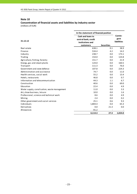# **Concentration of financial assets and liabilities by industry sector**

|                                              | In the statement of financial position                        |                   |                                       |  |  |
|----------------------------------------------|---------------------------------------------------------------|-------------------|---------------------------------------|--|--|
| 31.12.12                                     | Cash and loans to<br>central bank, credit<br>institutions and |                   | Contin-<br>gent<br><b>liabilities</b> |  |  |
|                                              | customers                                                     | <b>Securities</b> |                                       |  |  |
| Real estate                                  | 638.1                                                         | 0.1               | 38.9                                  |  |  |
| Finance                                      | 534.4                                                         | 4.2               | 14.2                                  |  |  |
| Industry                                     | 238.7                                                         | 0.0               | 173.1                                 |  |  |
| Trading                                      | 154.0                                                         | 0.0               | 124.8                                 |  |  |
| Agriculture, fishing, forestry               | 151.7                                                         | 0.0               | 21.9                                  |  |  |
| Energy, gas and steam plants                 | 124.0                                                         | 0.0               | 160.5                                 |  |  |
| Transport                                    | 111.3                                                         | 0.0               | 76.0                                  |  |  |
| Government and state defence                 | 107.8                                                         | 0.0               | 224.3                                 |  |  |
| Administration and assistance                | 74.7                                                          | 0.0               | 11.0                                  |  |  |
| Health services, social work                 | 55.2                                                          | 0.0               | 13.4                                  |  |  |
| Hotels, restaurants                          | 46.8                                                          | 0.0               | 0.7                                   |  |  |
| Information and telecommunication            | 44.3                                                          | 1.1               | 6.7                                   |  |  |
| Construction                                 | 40.6                                                          | 0.0               | 69.0                                  |  |  |
| Education                                    | 22.4                                                          | 0.0               | 4.9                                   |  |  |
| Water supply, canalisation, waste management | 11.0                                                          | 0.0               | 3.3                                   |  |  |
| Art, show business, leisure                  | 10.0                                                          | 0.0               | 1.6                                   |  |  |
| Professional, science and technical work     | 8.6                                                           | 0.0               | 4.9                                   |  |  |
| Mining                                       | 2.4                                                           | 0.0               | 0.2                                   |  |  |
| Other government and social services         | 25.1                                                          | 0.6               | 9.3                                   |  |  |
| Individuals                                  | 1,804.4                                                       | 0.0               | 65.3                                  |  |  |
| Derivatives                                  | 0.0                                                           | 21.3              | 0.0                                   |  |  |
| Allowances                                   | $-91.2$                                                       |                   |                                       |  |  |
|                                              | 4,114.3                                                       | 27.3              | 1,024.0                               |  |  |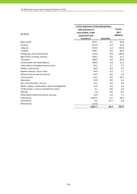|                                              | In the statement of financial position   |                   |                    |
|----------------------------------------------|------------------------------------------|-------------------|--------------------|
|                                              | Cash and loans to                        |                   | Contin-<br>gent    |
| 31.12.11                                     | central bank, credit<br>institutions and |                   | <b>liabilities</b> |
|                                              | customers                                | <b>Securities</b> |                    |
| Real estate                                  | 629.1                                    | 0.1               | 20.5               |
| Finance                                      | 515.6                                    | 3.9               | 15.4               |
| Industry                                     | 259.6                                    | 1.0               | 154.4              |
| Trading                                      | 198.7                                    | 0.0               | 88.4               |
| Energy, gas and steam plants                 | 116.6                                    | 0.0               | 140.4              |
| Agriculture, fishing, forestry               | 109.3                                    | 0.0               | 12.7               |
| Transport                                    | 108.5                                    | 0.0               | 80.0               |
| Government and state defence                 | 106.9                                    | 0.0               | 21.1               |
| Information and telecommunication            | 53.2                                     | 0.7               | 7.7                |
| Hotels, restaurants                          | 46.8                                     | 0.0               | 0.7                |
| Health services, social work                 | 46.4                                     | 0.0               | 7.1                |
| Administration and assistance                | 44.5                                     | 0.0               | 7.6                |
| Construction                                 | 43.2                                     | 0.0               | 63.2               |
| Education                                    | 23.0                                     | 0.0               | 6.3                |
| Art, show business, leisure                  | 15.5                                     | 0.0               | 0.6                |
| Water supply, canalisation, waste management | 12.9                                     | 0.0               | 4.4                |
| Professional, science and technical work     | 9.1                                      | 0.0               | 3.6                |
| Mining                                       | 2.6                                      | 0.0               | 0.2                |
| Other government and social services         | 22.0                                     | 1.0               | 7.1                |
| Individuals                                  | 1,819.2                                  | 0.0               | 66.2               |
| Derivatives                                  | 0.0                                      | 19.7              | 0.0                |
| Allowances                                   | $-131.0$                                 |                   |                    |
|                                              | 4,051.7                                  | 26.4              | 707.6              |